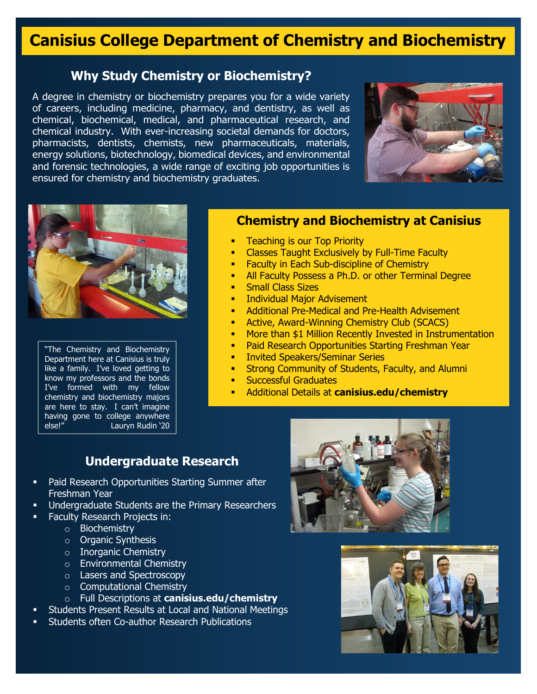# **Canisius College Department of Chemistry and Biochemistry**

## **Why Study Chemistry or Biochemistry?**

A degree in chemistry or biochemistry prepares you for a wide variety of careers, including medicine, pharmacy, and dentistry, as well as chemical, biochemical, medical, and pharmaceutical research, and chemical industry. With ever-increasing societal demands for doctors, pharmacists, dentists, chemists, new pharmaceuticals, materials, energy solutions, biotechnology, biomedical devices, and environmental and forensic technologies, a wide range of exciting job opportunities is ensured for chemistry and biochemistry graduates.





"The Chemistry and Biochemistry Department here at Canisius is truly like a family. I've loved getting to know my professors and the bonds I've formed with my fellow chemistry and biochemistry majors are here to stay. I can't imagine having gone to college anywhere else!" Lauryn Rudin '20

#### **Chemistry and Biochemistry at Canisius**

- Teaching is our Top Priority
- Classes Taught Exclusively by Full-Time Faculty
- Faculty in Each Sub-discipline of Chemistry
- All Faculty Possess a Ph.D. or other Terminal Degree
- Small Class Sizes
- Individual Major Advisement
- Additional Pre-Medical and Pre-Health Advisement
- Active, Award-Winning Chemistry Club (SCACS)
- More than \$1 Million Recently Invested in Instrumentation
	- Paid Research Opportunities Starting Freshman Year
- Invited Speakers/Seminar Series
- Strong Community of Students, Faculty, and Alumni
- Successful Graduates
- Additional Details at **canisius.edu/chemistry**

#### **Undergraduate Research**

- Paid Research Opportunities Starting Summer after Freshman Year
- Undergraduate Students are the Primary Researchers
- Faculty Research Projects in:
	- o Biochemistry
	- o Organic Synthesis
	- o Inorganic Chemistry
	- o Environmental Chemistry
	- o Lasers and Spectroscopy
	- $\circ$  Computational Chemistry
	- o Full Descriptions at **canisius.edu/chemistry**
- Students Present Results at Local and National Meetings
- Students often Co-author Research Publications